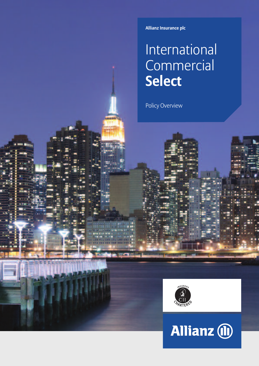**Allianz Insurance plc**

# International **Commercial Select**

Policy Overview



# Allianz (ii)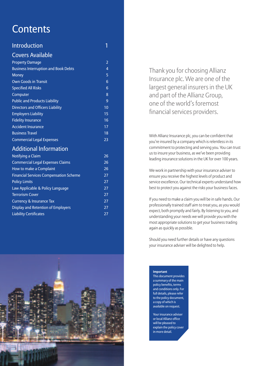# **Contents**

| <b>Introduction</b>                           | 1              |
|-----------------------------------------------|----------------|
| <b>Covers Available</b>                       |                |
| <b>Property Damage</b>                        | $\overline{2}$ |
| <b>Business Interruption and Book Debts</b>   | $\overline{4}$ |
| <b>Money</b>                                  | 5              |
| <b>Own Goods in Transit</b>                   | 6              |
| <b>Specified All Risks</b>                    | 6              |
| Computer                                      | 8              |
| <b>Public and Products Liability</b>          | 9              |
| <b>Directors and Officers Liability</b>       | 10             |
| <b>Employers Liability</b>                    | 15             |
| <b>Fidelity Insurance</b>                     | 16             |
| <b>Accident Insurance</b>                     | 17             |
| <b>Business Travel</b>                        | 18             |
| <b>Commercial Legal Expenses</b>              | 23             |
| <b>Additional Information</b>                 |                |
| Notifying a Claim                             | 26             |
| <b>Commercial Legal Expenses Claims</b>       | 26             |
| How to make a Complaint                       | 26             |
| <b>Financial Services Compensation Scheme</b> | 27             |
| <b>Policy Limits</b>                          | 27             |
| Law Applicable & Policy Language              | 27             |
| <b>Terrorism Cover</b>                        | 27             |

Currency & Insurance Tax 27 Display and Retention of Employers 27 Liability Certificates 27



Thank you for choosing Allianz Insurance plc. We are one of the largest general insurers in the UK and part of the Allianz Group, one of the world's foremost financial services providers.

With Allianz Insurance plc, you can be confident that you're insured by a company which is relentless in its commitment to protecting and serving you. You can trust us to insure your business, as we've been providing leading insurance solutions in the UK for over 100 years.

We work in partnership with your insurance adviser to ensure you receive the highest levels of product and service excellence. Our technical experts understand how best to protect you against the risks your business faces.

If you need to make a claim you will be in safe hands. Our professionally trained staff aim to treat you, as you would expect, both promptly and fairly. By listening to you, and understanding your needs we will provide you with the most appropriate solutions to get your business trading again as quickly as possible.

Should you need further details or have any questions your insurance adviser will be delighted to help.

#### **Important**

This document provides a summary of the main policy benefits, terms and conditions only. For full details, please refer to the policy document, a copy of which is available on request.

Your insurance adviser or local Allianz office will be pleased to explain the policy cover in more detail.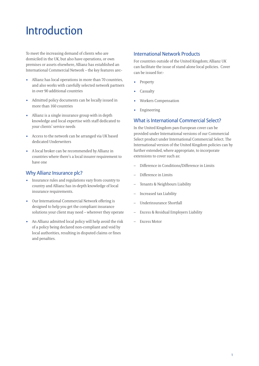# **Introduction**

To meet the increasing demand of clients who are domiciled in the UK, but also have operations, or own premises or assets elsewhere, Allianz has established an International Commercial Network – the key features are:-

- Allianz has local operations in more than 70 countries, and also works with carefully selected network partners in over 90 additional countries
- Admitted policy documents can be locally issued in more than 160 countries
- Allianz is a single insurance group with in depth knowledge and local expertise with staff dedicated to your clients' service needs
- Access to the network can be arranged via UK based dedicated Underwriters
- A local broker can be recommended by Allianz in countries where there's a local insurer requirement to have one

### Why Allianz Insurance plc?

- Insurance rules and regulations vary from country to country and Allianz has in-depth knowledge of local insurance requirements.
- Our International Commercial Network offering is designed to help you get the compliant insurance solutions your client may need – wherever they operate
- An Allianz admitted local policy will help avoid the risk of a policy being declared non-compliant and void by local authorities, resulting in disputed claims or fines and penalties.

### International Network Products

For countries outside of the United Kingdom; Allianz UK can facilitate the issue of stand alone local policies. Cover can be issued for:-

- **Property**
- **Casualty**
- Workers Compensation
- **Engineering**

### What is International Commercial Select?

In the United Kingdom pan-European cover can be provided under International versions of our Commercial Select product under International Commercial Select. The International version of the United Kingdom policies can by further extended, where appropriate, to incorporate extensions to cover such as:

- Difference in Conditions/Difference in Limits
- Difference in Limits
- Tenants & Neighbours Liability
- Increased tax Liability
- Underinsurance Shortfall
- Excess & Residual Employers Liability
- Excess Motor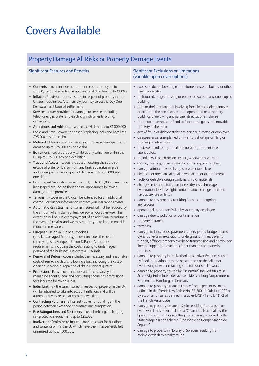# Covers Available

### Property Damage All Risks or Property Damage Events

- Contents cover includes computer records, money up to £1,000, personal effects of employees and directors up to  $£1,000$ .
- Inflation Provision sums insured in respect of property in the UK are index linked. Alternatively you may select the Day One Reinstatement basis of settlement.
- Services cover provided for damage to services including telephone, gas, water and electricity instruments, piping, cabling etc.
- Alterations and Additions within the EU limit up to  $£1,000,000$ .
- Locks and Keys covers the cost of replacing locks and keys limit £25,000 any one claim.
- Metered Utilities covers charges incurred as a consequence of damage up to £25,000 any one claim.
- Exhibitions covers property whilst at any exhibition within the EU up to £25,000 any one exhibition.
- Trace and Access covers the cost of locating the source of escape of water or fuel oil from any tank, apparatus or pipe and subsequent making good of damage up to £25,000 any one claim.
- Landscaped Grounds covers the cost, up to £25,000 of restoring landscaped grounds to their original appearance following damage at the premises.
- Terrorism cover in the UK can be extended for an additional charge. For further information contact your insurance adviser.
- Automatic Reinstatement sums insured will not be reduced by the amount of any claim unless we advise you otherwise. This extension will be subject to payment of an additional premium in the event of a claim, and we may require you to implement risk reduction measures.
- European Union & Public Authorities (and Undamaged Property) - cover includes the cost of complying with European Union & Public Authorities requirements. Including the costs relating to undamaged portions of the buildings subject to a 15% limit.
- Removal of Debris cover includes the necessary and reasonable costs of removing debris following a loss, including the cost of cleaning, clearing or repairing of drains, sewers gutters.
- Professional Fees cover includes architect's, surveyor's, managing agent's, legal and consulting engineer's professional fees incurred following a loss.
- Index Linking the sum insured in respect of property in the UK will be adjusted to take into account inflation, and will be automatically increased at each renewal date.
- Contracting Purchaser's Interest cover for buildings in the period between exchange of contract and completion.
- Fire Extinguishers and Sprinklers cost of refilling, recharging risk protection, equipment up to £25,000.
- Inadvertent Omission to Insure provides cover for buildings and contents within the EU which have been inadvertently left uninsured up to £1,000,000.

### Significant Features and Benefits Significant Exclusions or Limitations (variable upon cover options)

- explosion due to bursting of non domestic steam boilers, or other steam apparatus
- malicious damage, freezing or escape of water in any unoccupied building
- theft or theft damage not involving forcible and violent entry to or exit from the premises, or from open sided or temporary buildings or involving any partner, director, or employee
- theft, storm, tempest or flood to fences and gates and movable property in the open
- acts of fraud or dishonesty by any partner, director, or employee
- disappearance, unexplained or inventory shortage or filing or misfiling of information
- frost, wear and tear, gradual deterioration, inherent vice, latent defect
- rot, mildew, rust, corrosion, insects, woodworm, vermin
- dyeing, cleaning, repair, renovation, marring or scratching
- damage attributable to changes in water table level
- electrical or mechanical breakdown, failure or derangement
- faulty or defective design workmanship or materials
- changes in temperature, dampness, dryness, shrinkage, evaporation, loss of weight, contamination, change in colour, flavour, texture or finish
- damage to any property resulting from its undergoing any process
- operational error or omission by you or any employee
- damage due to pollution or contamination
- property in transit
- terrorism
- damage to land, roads, pavements, piers, jetties, bridges, dams, dykes, culverts or excavations, underground mines, caverns, tunnels, offshore property overhead transmission and distribution lines or supporting structures other than on the Insured's premises
- damage to property in the Netherlands and/or Belgium caused by flood inundation from the ocean or sea or the failure or overflowing of water retaining structures or similar works
- damage to property caused by "sturmflut" Insured situate in Schleswig-Holstein, Niedersachsen, Mecklenburg-Vorpommern, Bremen and Hamburg, in Germany
- damage to property situate in France from a peril or event as defined in the French Law Article No. 82-600 of 13th July 1982 or by act of terrorism as defined in articles L 421-1 and L 421-2 of the French Penal Code
- damage to property situate in Spain resulting from a peril or event which has been declared a "Calamidad Nacional" by the Spanish government or resulting from damage covered by the State compensation scheme "Consoricio de Compensation de Seguros"
- damage to property in Norway or Sweden resulting from hydroelectric dam breakthrough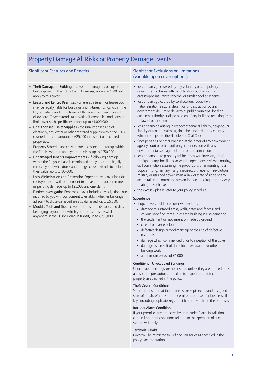### Property Damage All Risks or Property Damage Events

- Theft Damage to Buildings cover for damage to occupied buildings within the EU by theft. An excess, normally £500, will apply to this cover.
- Leased and Rented Premises where as a tenant or lessee you may be legally liable for buildings and fixtures/fittings within the EU, but which under the terms of the agreement are insured elsewhere. Cover extends to provide difference in conditions or limits over such specific insurance up to £1,000,000.
- Unauthorised use of Supplies the unauthorised use of electricity, gas, water or other metered supplies within the EU is covered up to an amount of £25,000 in respect of occupied properties.
- Property Stored stock cover extends to include storage within the EU elsewhere than at your premises, up to £250,000
- Undamaged Tenants Improvements if following damage within the EU your lease is terminated and you cannot legally remove your own fixtures and fittings, cover extends to include their value, up to £100,000.
- Loss Minimisation and Prevention Expenditure cover includes costs you incur with our consent to prevent or reduce imminent impending damage, up to £25,000 any one claim.
- Further Investigation Expenses cover includes investigation costs incurred by you with our consent to establish whether buildings adjacent to those damaged are also damaged, up to £5,000.
- Moulds, Tools and Dies cover includes moulds, tools and dies belonging to you or for which you are responsible whilst anywhere in the EU including in transit, up to £250,000.

#### Significant Features and Benefits Significant Exclusions or Limitations (variable upon cover options)

- loss or damage covered by any voluntary or compulsory government scheme, official obligatory pool or natural catastrophe insurance scheme, or similar pool or scheme
- loss or damage caused by confiscation, requisition, nationalisation, seizure, detention or destruction by any government de jure or de facto or public municipal local or customs authority or dispossession of any building resulting from unlawful occupation
- loss or damage arising in respect of tenants liability, neighbours liability or tenants claims against the landlord in any country which is subject to the Napoleonic Civil Code
- fines penalties or costs imposed at the order of any government agency court or other authority in connection with any environmental seepage pollution or contamination
- loss or damage to property arising from war, invasion, act of foreign enemy, hostilities, or warlike operations, civil war, mutiny, civil commotion assuming the proportions or amounting to a popular rising, military rising, insurrection, rebellion, revolution, military or usurped power, martial law or state of siege or any action taken in controlling preventing suppressing or in any way relating to such events
- the excess please refer to your policy schedule

#### Subsidence

- If operative subsidence cover will exclude:
	- damage to surfaced areas, walls, gates and fences, and various specified items unless the building is also damaged
	- the settlement or movement of made up ground
	- coastal or river erosion
	- defective design or workmanship or the use of defective materials
	- damage which commenced prior to inception of this cover
	- damage as a result of demolition, excavation or other building work
	- a minimum excess of  $£1,000$ .

#### Conditions - Unoccupied Buildings

Unoccupied buildings are not insured unless they are notified to us and specific precautions are taken to inspect and protect the property as specified in the policy.

#### Theft Cover - Conditions

You must ensure that the premises are kept secure and in a good state of repair. Whenever the premises are closed for business all keys including duplicate keys must be removed from the premises.

#### Intruder Alarm Condition

If your premises are protected by an Intruder Alarm Installation certain important conditions relating to the operation of such system will apply.

#### Territorial Limits

Cover will be restricted to Defined Territories as specified in the policy documentation.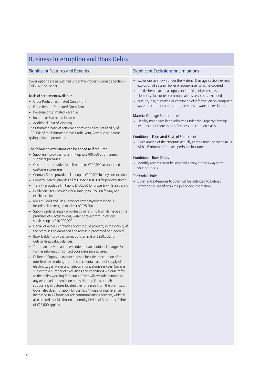### Business Interruption and Book Debts

Cover options are as outlined under the Property Damage Section - "All Risks" or Events.

#### Basis of settlement available:

- Gross Profit or Estimated Gross Profit
- Gross Rent or Estimated Gross Rent
- Revenue or Estimated Revenue
- Income or Estimated Income
- Additional Cost of Working

The Estimated basis of settlement provides a limit of liability of 133.33% of the Estimated Gross Profit, Rent, Revenue or Income giving inflation protection.

#### The following extensions can be added to if required:

- Suppliers provides for a limit up to  $£100,000$  at unnamed suppliers premises.
- Customers provides for a limit up to £100,000 at unnamed customers premises.
- Contract Sites provides a limit up to £100,000 for any one location.
- Property Stored provides a limit up to  $£100,000$  for property stored.
- Transit provides a limit up to  $£100,000$  for property whilst in transit.
- Exhibition Sites provides for a limit up to £25,000 for any one exhibition site.
- Moulds, Tools and Dies provides cover anywhere in the EU including in transit, up to a limit of £25,000.
- Supply Undertakings provides cover arising from damage at the premises of electricity, gas, water or telecommunications services, up to £10,000,000.
- Denial of Access provides cover should property in the vicinity of the premises be damaged and access is prevented or hindered.
- Book Debts provides cover, up to a limit of £250,000, for outstanding debit balances.
- Terrorism cover can be extended for an additional charge. For further information contact your insurance adviser.
- Failure of Supply cover extends to include interruption of or interference resulting from the accidental failure of supply of electricity, gas, water and telecommunications services. Cover is subject to a number of exclusions and conditions – please refer to the policy wording for details. Cover will exclude damage to any overhead transmission or distributing lines or their supporting structures located over one mile from the premises. Cover also does not apply for the first 4 hours of interference, increased to 12 hours for telecommunications services, which is also limited to a Maximum Indemnity Period of 3 months. A limit of £25,000 applies.

#### Significant Features and Benefits Significant Exclusions or Limitations

- exclusions as shown under the Material Damage section, except explosion of a steam boiler or economiser which is covered
- the deliberate act of a supply undertaking of water, gas, electricity, fuel or telecommunications services is excluded
- erasure, loss, distortion or corruption of information on computer systems or other records, programs or software are excluded.

#### Material Damage Requirement

• Liability must have been admitted under the Property Damage insurance for there to be a Business Interruption claim

#### Conditions - Estimated Basis of Settlement

• A declaration of the amounts actually earned must be made to us within 6 months after each period of insurance

#### Conditions - Book Debts

• Monthly records must be kept and a copy stored away from your premises

#### Territorial Limits

• Cover and Extensions to cover will be restricted to Defined Territories as specified in the policy documentation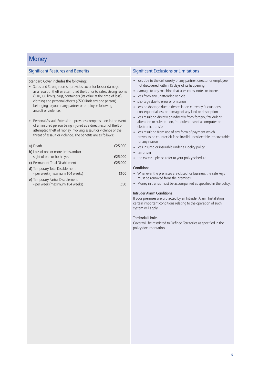### **Money**

#### Standard Cover includes the following:

- Safes and Strong rooms provides cover for loss or damage as a result of theft or attempted theft of or to safes, strong rooms (£10,000 limit), bags, containers (its value at the time of loss), clothing and personal effects (£500 limit any one person) belonging to you or any partner or employee following assault or violence.
- Personal Assault Extension provides compensation in the event of an insured person being injured as a direct result of theft or attempted theft of money involving assault or violence or the threat of assault or violence. The benefits are as follows:

| a) Death                                                           | £25,000 |
|--------------------------------------------------------------------|---------|
| b) Loss of one or more limbs and/or<br>sight of one or both eyes   | £25,000 |
| c) Permanent Total Disablement                                     | £25,000 |
| d) Temporary Total Disablement<br>- per week (maximum 104 weeks)   | £100    |
| e) Temporary Partial Disablement<br>- per week (maximum 104 weeks) |         |

#### Significant Features and Benefits Significant Exclusions or Limitations

- loss due to the dishonesty of any partner, director or employee, not discovered within 15 days of its happening
- damage to any machine that uses coins, notes or tokens
- loss from any unattended vehicle
- shortage due to error or omission
- loss or shortage due to depreciation currency fluctuations consequential loss or damage of any kind or description
- loss resulting directly or indirectly from forgery, fraudulent alteration or substitution, fraudulent use of a computer or electronic transfer
- loss resulting from use of any form of payment which proves to be counterfeit false invalid uncollectable irrecoverable for any reason
- loss insured or insurable under a Fidelity policy
- terrorism
- the excess please refer to your policy schedule

#### **Conditions**

- Whenever the premises are closed for business the safe keys must be removed from the premises.
- Money in transit must be accompanied as specified in the policy.

#### Intruder Alarm Conditions

If your premises are protected by an Intruder Alarm Installation certain important conditions relating to the operation of such system will apply.

#### Territorial Limits

Cover will be restricted to Defined Territories as specified in the policy documentation.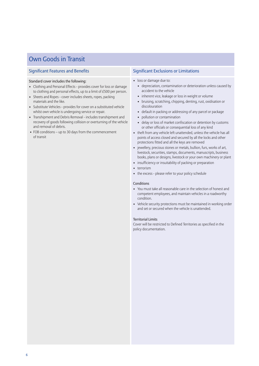### Own Goods in Transit

#### Standard cover includes the following:

- Clothing and Personal Effects provides cover for loss or damage to clothing and personal effects, up to a limit of £500 per person.
- Sheets and Ropes cover includes sheets, ropes, packing materials and the like.
- Substitute Vehicles provides for cover on a substituted vehicle whilst own vehicle is undergoing service or repair.
- Transhipment and Debris Removal includes transhipment and recovery of goods following collision or overturning of the vehicle and removal of debris.
- FOB conditions up to 30 days from the commencement of transit

#### Significant Features and Benefits Significant Exclusions or Limitations

- loss or damage due to:
	- depreciation, contamination or deterioration unless caused by accident to the vehicle
	- inherent vice, leakage or loss in weight or volume
	- bruising, scratching, chipping, denting, rust, oxidisation or discolouration
	- default in packing or addressing of any parcel or package
	- pollution or contamination
	- delay or loss of market confiscation or detention by customs or other officials or consequential loss of any kind
- theft from any vehicle left unattended, unless the vehicle has all points of access closed and secured by all the locks and other protections fitted and all the keys are removed
- jewellery, precious stones or metals, bullion, furs, works of art, livestock, securities, stamps, documents, manuscripts, business books, plans or designs, livestock or your own machinery or plant
- insufficiency or insuitability of packing or preparation
- terrorism
- the excess please refer to your policy schedule

#### Conditions

- You must take all reasonable care in the selection of honest and competent employees, and maintain vehicles in a roadworthy condition.
- Vehicle security protections must be maintained in working order and set or secured when the vehicle is unattended.

#### Territorial Limits

Cover will be restricted to Defined Territories as specified in the policy documentation.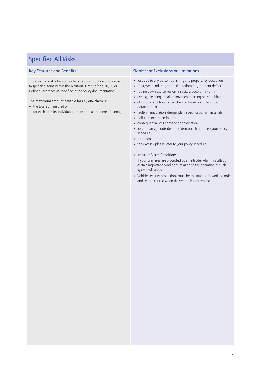## Specified All Risks

The cover provides for accidental loss or destruction of or damage to specified items within the Territorial Limits of the UK, EU or Defined Territories as specified in the policy documentation.

#### The maximum amount payable for any one claim is:

- the total sum insured or
- for each item its individual sum insured at the time of damage.

### Key Features and Benefits Significant Exclusions or Limitations

- loss due to any person obtaining any property by deception
- frost, wear and tear, gradual deterioration, inherent defect
- rot, mildew, rust, corrosion, insects, woodworm, vermin
- dyeing, cleaning, repair, renovation, marring or scratching
- electronic, electrical or mechanical breakdown, failure or derangement
- faulty manipulation, design, plan, specification or materials
- pollution or contamination
- consequential loss or market depreciation
- loss or damage outside of the territorial limits see your policy schedule
- terrorism
- the excess please refer to your policy schedule
- Intruder Alarm Conditions

If your premises are protected by an Intruder Alarm Installation certain important conditions relating to the operation of such system will apply.

• Vehicle security protections must be maintained in working order and set or secured when the vehicle is unattended.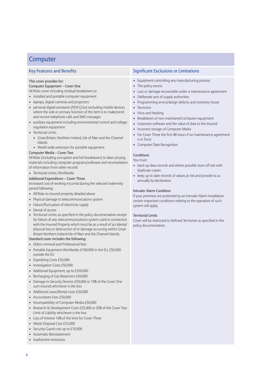### **Computer**

#### This cover provides for:

#### Computer Equipment – Cover One

All Risks cover including residual breakdown to:

- installed and portable computer equipment
- laptops, digital cameras and projectors
- personal digital assistants (PDA's) but excluding mobile devices where the sole or primary function of the item is to make/send and receive telephone calls and SMS messages
- auxiliary equipment including environmental control and voltage regulation equipment
- Territorial Limits
	- Great Britain, Northern Ireland, Isle of Man and the Channel Islands
	- World-wide extension for portable equipment.

#### Computer Media – Cover Two

All Risks (including corruption and full breakdown) to data carrying materials including computer programs/software and recompilation of information from other records

• Territorial Limits; Worldwide.

#### Additional Expenditure – Cover Three

Increased cost of working incurred during the selected indemnity period following:

- All Risks to insured property detailed above
- Physical damage to telecommunications system
- Failure/fluctuation of electricity supply
- Denial of access
- Territorial Limits; as specified in the policy documentation except for failure of any telecommunications system used in connection with the Insured Property which must be as a result of accidental physical loss or destruction of or damage occurring within Great Britain Northern Ireland Isle of Man and the Channel Islands.

#### Standard cover includes the following:

- Debris removal and Professional fees
- Portable Equipment Worldwide; £100,000 in the EU, £50,000 outside the EU
- Expediting Costs £50,000
- Investigation Costs £50,000
- Additional Equipment; up to £350,000
- Recharging of Gas Reservoirs £50,000
- Damage to Security Devices £50,000 or 10% of the Cover One sum insured whichever is the less
- Additional Lease/Rental costs £50,000
- Accountants Fees £50,000
- Incompatibility of Computer Media £50,000
- Research & Development Costs £25,000 or 20% of the Cover Two Limit of Liability whichever is the less
- Loss of Interest 10% of the limit for Cover Three
- Waste Disposal Cost £25,000
- Security Guard cost up to £10,000
- Automatic Reinstatement
- Inadvertent omissions

### Key Features and Benefits **Significant Exclusions or Limitations**

- Equipment controlling any manufacturing process
- The policy excess
- Loss or damage recoverable under a maintenance agreement
- Deliberate acts of supply authorities
- Programming errors/design defects and inventory losses
- Terrorism
	- Virus and Hacking
	- Breakdown of non-maintained computer equipment
	- Unproven software and the value of data to the Insured
	- Incorrect storage of Computer Media
	- For Cover Three the first 48 hours if no maintenance agreement is in force
	- Computer Date Recognition

### Conditions

You must

- back-up data records and where possible store off site with duplicate copies
- keep up to date records of values at risk and provide to us annually by declaration

#### Intruder Alarm Condition

If your premises are protected by an Intruder Alarm Installation certain important conditions relating to the operation of such system will apply.

#### Territorial Limits

Cover will be restricted to Defined Territories as specified in the policy documentation.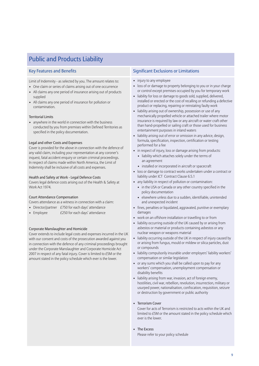## Public and Products Liability

Limit of Indemnity - as selected by you. The amount relates to:

- One claim or series of claims arising out of one occurrence
- All claims any one period of insurance arising out of products supplied
- All claims any one period of insurance for pollution or contamination.

#### Territorial Limits

• anywhere in the world in connection with the business conducted by you from premises within Defined Territories as specified in the policy documentation.

#### Legal and other Costs and Expenses

Cover is provided for the above in connection with the defence of any valid claim, including your representation at any coroner's inquest, fatal accident enquiry or certain criminal proceedings. In respect of claims made within North America, the Limit of Indemnity shall be inclusive of all costs and expenses.

#### Health and Safety at Work - Legal Defence Costs

Covers legal defence costs arising out of the Health & Safety at Work Act 1974.

#### Court Attendance Compensation

Covers attendance as a witness in connection with a claim:

- Director/partner £750 for each days' attendance
- Employee  $£250$  for each days' attendance

#### Corporate Manslaughter and Homicide

Cover extends to include legal costs and expenses incurred in the UK with our consent and costs of the prosecution awarded against you in connection with the defence of any criminal proceedings brought under the Corporate Manslaughter and Corporate Homicide Act 2007 in respect of any fatal injury. Cover is limited to £5M or the amount stated in the policy schedule which ever is the lower.

### Key Features and Benefits Significant Exclusions or Limitations

- injury to any employee
- loss of or damage to property belonging to you or in your charge or control except premises occupied by you for temporary work
- liability for loss or damage to goods sold, supplied, delivered, installed or erected or the cost of recalling or refunding a defective product or replacing, repairing or reinstating faulty work
- liability arising out of ownership, possession or use of any mechanically propelled vehicle or attached trailer where motor insurance is required by law or any aircraft or water craft other than hand-propelled or sailing craft or those used for business entertainment purposes in inland waters
- liability arising out of error or omission in any advice, design, formula, specification, inspection, certification or testing performed for a fee
- in respect of injury, loss or damage arising from products:
	- liability which attaches solely under the terms of an agreement
	- installed or incorporated in aircraft or spacecraft
- loss or damage to contract works undertaken under a contract or liability under JCT Contract Clause 6.5.1
- any liability in respect of pollution or contamination:
	- in the USA or Canada or any other country specified in the policy documentation
	- elsewhere unless due to a sudden, identifiable, unintended and unexpected incident
- fines, penalties or liquidated, aggravated, punitive or exemplary damages
- work on an offshore installation or travelling to or from
- liability occurring outside of the UK caused by or arising from asbestos or material or products containing asbestos or any nuclear weapon or weapons material
- liability occurring outside of the UK in respect of injury caused by or arising from fungus, mould or mildew or silica particles, dust or compounds
- liability compulsorily insurable under employers' liability workers' compensation or similar legislation
- or any sums which you shall be called upon to pay for any workers' compensation, unemployment compensation or disability benefits
- liability arising from war, invasion, act of foreign enemy, hostilities, civil war, rebellion, revolution, insurrection, military or usurped power, nationalisation, confiscation, requisition, seizure or destruction by government or public authority

#### • Terrorism Cover

Cover for acts of Terrorism is restricted to acts within the UK and limited to £5M or the amount stated in the policy schedule which ever is the lower.

• The Excess Please refer to your policy schedule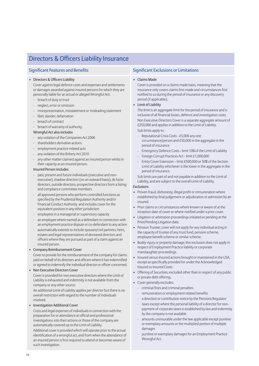| <b>Significant Features and Benefits</b>                                                                                                                                                                                                                                                                                                                                                                                                                                                                                                                                                                                                                                                                                                                                                                                                                                                                                                                                                                                                                                                                                                                                                                                                                                                                                                                                                                                         | <b>Significant Exclusions or Limitations</b>                                                                                                                                                                                                                                                                                                                                                                                                                                                                                                                                                                                                                                                                                                                                                                                                                                                                                                                                                                                                                                                                                                                                                                                                                                                                                                                                                                                                                                                                                         |
|----------------------------------------------------------------------------------------------------------------------------------------------------------------------------------------------------------------------------------------------------------------------------------------------------------------------------------------------------------------------------------------------------------------------------------------------------------------------------------------------------------------------------------------------------------------------------------------------------------------------------------------------------------------------------------------------------------------------------------------------------------------------------------------------------------------------------------------------------------------------------------------------------------------------------------------------------------------------------------------------------------------------------------------------------------------------------------------------------------------------------------------------------------------------------------------------------------------------------------------------------------------------------------------------------------------------------------------------------------------------------------------------------------------------------------|--------------------------------------------------------------------------------------------------------------------------------------------------------------------------------------------------------------------------------------------------------------------------------------------------------------------------------------------------------------------------------------------------------------------------------------------------------------------------------------------------------------------------------------------------------------------------------------------------------------------------------------------------------------------------------------------------------------------------------------------------------------------------------------------------------------------------------------------------------------------------------------------------------------------------------------------------------------------------------------------------------------------------------------------------------------------------------------------------------------------------------------------------------------------------------------------------------------------------------------------------------------------------------------------------------------------------------------------------------------------------------------------------------------------------------------------------------------------------------------------------------------------------------------|
| • Directors & Officers Liability<br>Cover against legal defence costs and expenses and settlements<br>or damages awarded against insured persons for which they are<br>personally liable for an actual or alleged Wrongful Act:<br>breach of duty or trust<br>neglect, error or omission<br>misrepresentation, misstatement or misleading statement<br>libel, slander, defamation<br>breach of contract<br>breach of warranty of authority.<br>Wrongful Act also includes<br>any violation of the Companies Act 2006<br>$\overline{\phantom{a}}$<br>shareholders derivative actions<br>employment practice related acts<br>any violation of the Bribery Act 2010<br>any other matter claimed against an insured person whilst in<br>their capacity as an insured person.<br><b>Insured Person includes</b><br>past, present and future individuals (executive and non-<br>executive), shadow directors (on an outward basis), de facto<br>directors, outside directors, prospective directors from a listing<br>and compliance committee members<br>all approved persons who perform controlled functions as<br>specified by the Prudential Regulation Authority and/or<br>Financial Conduct Authority and includes cover for the<br>equivalent position in any other jurisdiction<br>employees in a managerial or supervisory capacity<br>$\overline{\phantom{a}}$<br>an employee where named as a defendant in connection with | • Claims Made<br>Cover is provided on a claims made basis, meaning that the<br>insurance only covers claims first made and circumstances first<br>notified to us during the period of insurance or any discovery<br>period (if applicable).<br>• Limit of Liability<br>The limit is an aggregate limit for the period of insurance and is<br>inclusive of all financial losses, defence and investigation costs.<br>Non Executive Directors Cover is a separate aggregate amount of<br>£250,000 and applies in addition to the Limit of Liability.<br>Sub limits apply to:<br>Reputational Crisis Costs - £5,000 any one<br>circumstance/person and £50,000 in the aggregate in the<br>period of insurance<br>Emergency Defence Costs - limit 10% of the Limit of Liability<br>$\blacksquare$<br>Foreign Corrupt Practices Act - limit £1,000,000<br>Entity Cover Extension - limit £500,000 or 50% of the Section<br>Limit of Liability whichever is the lower in the aggregate in the<br>period of insurance.<br>Sub limits are part of and not payable in addition to the Limit of<br>Liability, and are subject to the overall Limit of Liability.<br>Exclusions<br>• Proven fraud, dishonesty, illegal profit or remuneration where<br>established by final judgement or adjudication or admission by an<br>insured.<br>• Prior claims or circumstances where known or aware of at the<br>inception date of cover or where notified under a prior cover.<br>• Litigation or arbitration proceedings initiated or pending at the |
| an employment practice dispute or co-defendant to any action<br>automatically extends to include spouses/civil partners, heirs,<br>$\overline{\phantom{a}}$<br>estates and legal representatives of deceased directors and                                                                                                                                                                                                                                                                                                                                                                                                                                                                                                                                                                                                                                                                                                                                                                                                                                                                                                                                                                                                                                                                                                                                                                                                       | Prior/Pending Litigation date.<br>• Pension Trustee; cover will not apply for any individual acting in<br>the capacity of trustee of any trust fund, pension scheme,<br>employee benefit scheme or similar scheme.                                                                                                                                                                                                                                                                                                                                                                                                                                                                                                                                                                                                                                                                                                                                                                                                                                                                                                                                                                                                                                                                                                                                                                                                                                                                                                                   |
| officers where they are pursued as part of a claim against an<br>insured person.<br>• Company Reimbursement Cover                                                                                                                                                                                                                                                                                                                                                                                                                                                                                                                                                                                                                                                                                                                                                                                                                                                                                                                                                                                                                                                                                                                                                                                                                                                                                                                | Bodily injury or property damage; this exclusion does not apply in<br>$\bullet$<br>respect of Employment Practice liability or corporate                                                                                                                                                                                                                                                                                                                                                                                                                                                                                                                                                                                                                                                                                                                                                                                                                                                                                                                                                                                                                                                                                                                                                                                                                                                                                                                                                                                             |

#### • Company Reimbursement Cover

Cover to provide for the reimbursement of the company for claims paid on behalf of its directors and officerswhere it hasindemnified or agreed to indemnify the individual director or officer concerned.

Directors & Officers Liability Insurance

#### • Non Executive Directors Cover

Cover is provided for non executive directors where the Limit of Liability is exhausted and indemnity is not available from the company or any other source.

An additional Limit of Liability applies per director but there is no overall restriction with regard to the number of individuals involved.

#### • Investigation Additional Cover

Costs and legal expenses of individuals in connection with the preparation for or attendance at official and professional investigations into their actions or those of the company are automatically covered up to the Limit of Liability.

Additional cover is provided which will operate prior to the actual identification of a wrongful act, and from when the attendance of an insured person is first required to attend or becomes aware of such investigation.

- manslaughter proceedings.
- Insured versus Insured actions brought or maintained in the USA, except asspecifically provided for under the Acknowledged Insured vs Insured Cover.
- Offering of Securities, excluded other than in respect of any public or private debt offering.
- Cover generally excludes:
	- criminal fines and criminal penalties
	- remuneration or employment related benefits
	- a direction or contribution notice by the Pensions Regulator
	- taxes except where the personal liability of a director for nonpayment of corporate taxes is established by law and indemnity by the company is not available
	- amounts uninsurable under the law applicable except punitive or exemplary amounts or the multiplied portion of multiple damages
	- punitive or exemplary damages for an Employment Practice Wrongful Act.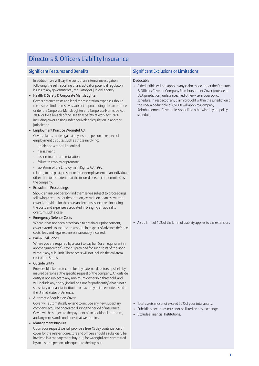## Directors & Officers Liability Insurance

In addition, we will pay the costs of an internal investigation following the self reporting of any actual or potential regulatory issues to any governmental, regulatory or judicial agency.

• Health & Safety & Corporate Manslaughter

Covers defence costs and legal representation expenses should the insured find themselves subject to proceedings for an offence under the Corporate Manslaughter and Corporate Homicide Act 2007 or for a breach of the Health & Safety at work Act 1974, including cover arising under equivalent legislation in another jurisdiction.

#### • Employment Practice Wrongful Act

Covers claims made against any insured person in respect of employment disputes such as those involving:

- unfair and wrongful dismissal
- harassment
- discrimination and retaliation
- failure to employ or promote
- violations of the Employment Rights Act 1996.

relating to the past, present or future employment of an individual, other than to the extent that the insured person is indemnified by the company.

• Extradition Proceedings

Should an insured person find themselves subject to proceedings following a request for deportation, extradition or arrest warrant, cover is provided for the costs and expensesincurred including the costs and expenses associated in bringing an appeal to overturn such a case.

• Emergency Defence Costs

Where it has not been practicable to obtain our prior consent, cover extends to include an amount in respect of advance defence costs, fees and legal expenses reasonably incurred.

• Bail & Civil Bonds

Where you are required by a court to pay bail (or an equivalent in another jurisdiction), cover is provided for such costs of the Bond without any sub limit. These costs will not include the collateral cost of the Bonds.

• Outside Entity

Provides blanket protection for any external directorships held by insured persons at the specific request of the company. An outside entity is not subject to any minimum ownership threshold, and will include any entity (including a not for profit entity) that is not a subsidiary or financial institution or have any of its securities listed in the United States of America.

#### • Automatic Acquisition Cover

Cover will automatically extend to include any new subsidiary company acquired or created during the period of insurance. Cover will be subject to the payment of an additional premium, and any terms and conditions that we require.

#### • Management Buy-Out

Upon your request we will provide a free 45 day continuation of cover for the relevant directors and officers should a subsidiary be involved in a management buy-out, for wrongful acts committed by an insured person subsequent to the buy-out.

### Significant Features and Benefits Significant Exclusions or Limitations

#### Deductible

• A deductible will not apply to any claim made under the Directors & Officers Cover or Company Reimbursement Cover (outside of USA jurisdiction) unless specified otherwise in your policy schedule. In respect of any claim brought within the jurisdiction of the USA, a deductible of £5,000 will apply to Company Reimbursement Cover unless specified otherwise in your policy schedule.

• A sub limit of 10% of the Limit of Liability applies to the extension.

- Total assets must not exceed 50% of your total assets.
- Subsidiary securities must not be listed on any exchange.
- Excludes Financial Institutions.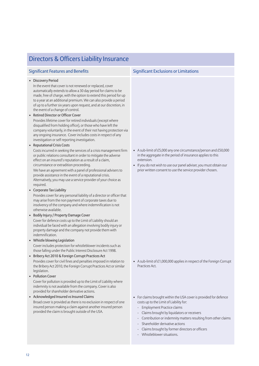| Directors & Officers Liability Insurance                                                                                                                                                                                                                                                                                                                                                                                                                                                                                                                                                                                                                                                                                                                                                                                                                                                                                                                                                                                                                                                                                                                                                                                                                                                                                                                                                                                                                                                                                                                                                                                                                                                                                                                                                                                                                                                                                                                                                                                     |                                                                                                                                                                                                                                                                                                                                               |  |
|------------------------------------------------------------------------------------------------------------------------------------------------------------------------------------------------------------------------------------------------------------------------------------------------------------------------------------------------------------------------------------------------------------------------------------------------------------------------------------------------------------------------------------------------------------------------------------------------------------------------------------------------------------------------------------------------------------------------------------------------------------------------------------------------------------------------------------------------------------------------------------------------------------------------------------------------------------------------------------------------------------------------------------------------------------------------------------------------------------------------------------------------------------------------------------------------------------------------------------------------------------------------------------------------------------------------------------------------------------------------------------------------------------------------------------------------------------------------------------------------------------------------------------------------------------------------------------------------------------------------------------------------------------------------------------------------------------------------------------------------------------------------------------------------------------------------------------------------------------------------------------------------------------------------------------------------------------------------------------------------------------------------------|-----------------------------------------------------------------------------------------------------------------------------------------------------------------------------------------------------------------------------------------------------------------------------------------------------------------------------------------------|--|
| <b>Significant Features and Benefits</b>                                                                                                                                                                                                                                                                                                                                                                                                                                                                                                                                                                                                                                                                                                                                                                                                                                                                                                                                                                                                                                                                                                                                                                                                                                                                                                                                                                                                                                                                                                                                                                                                                                                                                                                                                                                                                                                                                                                                                                                     | <b>Significant Exclusions or Limitations</b>                                                                                                                                                                                                                                                                                                  |  |
| • Discovery Period<br>In the event that cover is not renewed or replaced, cover<br>automatically extends to allow a 30 day period for claims to be<br>made, free of charge, with the option to extend this period for up<br>to a year at an additional premium. We can also provide a period<br>of up to a further six years upon request, and at our discretion, in<br>the event of a change of control.<br>• Retired Director or Officer Cover<br>Provides lifetime cover for retired individuals (except where<br>disqualified from holding office), or those who have left the<br>company voluntarily, in the event of their not having protection via<br>any ongoing insurance. Cover includes costs in respect of any<br>investigation or self reporting investigation.<br>• Reputational Crisis Costs<br>Costs incurred in seeking the services of a crisis management firm<br>or public relations consultant in order to mitigate the adverse<br>effect on an insured's reputation as a result of a claim,<br>circumstance or extradition proceeding.<br>We have an agreement with a panel of professional advisers to<br>provide assistance in the event of a reputational crisis.<br>Alternatively, you may use a service provider of your choice as<br>required.<br>• Corporate Tax Liability<br>Provides cover for any personal liability of a director or officer that<br>may arise from the non payment of corporate taxes due to<br>insolvency of the company and where indemnification is not<br>otherwise available.<br>• Bodily Injury / Property Damage Cover<br>Cover for defence costs up to the Limit of Liability should an<br>individual be faced with an allegation involving bodily injury or<br>property damage and the company not provide them with<br>indemnification.<br>• Whistle blowing Legislation<br>Cover includes protection for whistleblower incidents such as<br>those falling under the Public Interest Disclosure Act 1998.<br>• Bribery Act 2010 & Foreign Corrupt Practices Act | • A sub-limit of £5,000 any one circumstance/person and £50,000<br>in the aggregate in the period of insurance applies to this<br>extension.<br>• If you do not wish to use our panel adviser, you must obtain our<br>prior written consent to use the service provider chosen.                                                               |  |
| Provides cover for civil fines and penalties imposed in relation to<br>the Bribery Act 2010, the Foreign Corrupt Practices Act or similar<br>legislation.<br>• Pollution Cover                                                                                                                                                                                                                                                                                                                                                                                                                                                                                                                                                                                                                                                                                                                                                                                                                                                                                                                                                                                                                                                                                                                                                                                                                                                                                                                                                                                                                                                                                                                                                                                                                                                                                                                                                                                                                                               | • A sub-limit of £1,000,000 applies in respect of the Foreign Corrupt<br>Practices Act.                                                                                                                                                                                                                                                       |  |
| Cover for pollution is provided up to the Limit of Liability where<br>indemnity is not available from the company. Cover is also<br>provided for shareholder derivative actions.<br>• Acknowledged Insured vs Insured Claims<br>Broad cover is provided as there is no exclusion in respect of one<br>insured person making a claim against another insured person<br>provided the claim is brought outside of the USA.                                                                                                                                                                                                                                                                                                                                                                                                                                                                                                                                                                                                                                                                                                                                                                                                                                                                                                                                                                                                                                                                                                                                                                                                                                                                                                                                                                                                                                                                                                                                                                                                      | • For claims brought within the USA cover is provided for defence<br>costs up to the Limit of Liability for:<br>Employment Practice claims<br>Claims brought by liquidators or receivers<br>Contribution or indemnity matters resulting from other claims<br>Shareholder derivative actions<br>Claims brought by former directors or officers |  |

### - Whistleblower situations.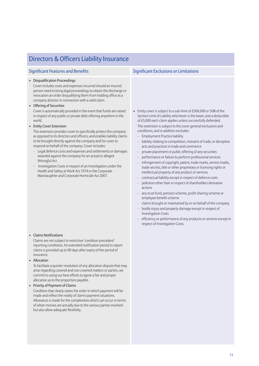## Directors & Officers Liability Insurance

#### • Disqualification Proceedings

Cover includes costs and expensesincurred should an insured person need to bring legal proceedings to obtain the discharge or revocation an order disqualifying them from holding office as a company director in connection with a valid claim.

• Offering of Securities

Cover is automatically provided in the event that funds are raised in respect of any public or private debt offering anywhere in the world.

• Entity Cover Extension

This extension provides cover to specifically protect the company as opposed to its directors and officers, and enables liability claims to be brought directly against the company and for cover to respond on behalf of the company. Cover includes:

- Legal defence costs and expenses and settlements or damages awarded against the company for an actual or alleged Wrongful Act
- Investigation Costsin respect of an Investigation under the Health and Safety at Work Act 1974 or the Corporate Manslaughter and Corporate Homicide Act 2007.

• Claims Notifications

Claims are not subject to restrictive 'condition precedent' reporting conditions. An extended notification period to report claimsis provided up to 90 days after expiry of the period of insurance.

• Allocation

To facilitate a quicker resolution of any allocation dispute that may arise regarding covered and non covered matters or parties, we commit to using our best efforts to agree a fair and proper allocation as to the proportion payable.

#### • Priority of Payment of Claims

Condition that clearly states the order in which payment will be made and reflect the reality of claims payment situations. Allowance is made for the complexities which can occur in terms of when monies are actually due to the various partiesinvolved but also allow adequate flexibility.

### Significant Features and Benefits Significant Exclusions or Limitations

- Entity cover is subject to a sub-limit of £500,000 or 50% of the Section Limit of Liability whichever is the lower, and a deductible of £5,000 each claim applies unless successfully defended. This extension is subject to the cover general exclusions and conditions, and in addition excludes:
	- Employment Practice liability
	- liability relating to competition, restraint of trade, or deceptive acts and practices in trade and commerce
	- private placement or public offering of any securities
	- performance or failure to perform professional services
	- infringement of copyright, patent, trade marks, service marks, trade secrets, title or other proprietary or licensing rights or intellectual property of any product or services
	- contractual liability except in respect of defence costs
	- pollution other than in respect of shareholders derivative actions
	- any trust fund, pension scheme, profit-sharing scheme or employee benefit scheme
	- claims brought or maintained by or on behalf of the company
	- bodily injury and property damage except in respect of Investigation Costs
	- efficiency or performance of any products or services except in respect of Investigation Costs.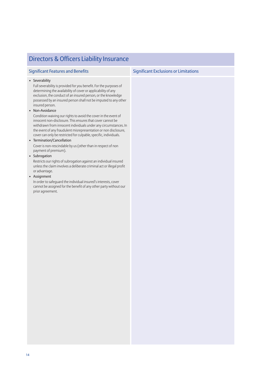| <b>Significant Features and Benefits</b>                                                                                                                                                                                                                                                                                                                     | <b>Significant Exclusions or Limitations</b> |
|--------------------------------------------------------------------------------------------------------------------------------------------------------------------------------------------------------------------------------------------------------------------------------------------------------------------------------------------------------------|----------------------------------------------|
| • Severability<br>Full severability is provided for you benefit. For the purposes of<br>determining the availability of cover or applicability of any<br>exclusion, the conduct of an insured person, or the knowledge<br>possessed by an insured person shall not be imputed to any other<br>insured person.                                                |                                              |
| · Non-Avoidance<br>Condition waiving our rights to avoid the cover in the event of<br>innocent non-disclosure. This ensures that cover cannot be<br>withdrawn from innocent individuals under any circumstances. In<br>the event of any fraudulent misrepresentation or non disclosure,<br>cover can only be restricted for culpable, specific, individuals. |                                              |
| • Termination/Cancellation                                                                                                                                                                                                                                                                                                                                   |                                              |
| Cover is non-rescindable by us (other than in respect of non<br>payment of premium).                                                                                                                                                                                                                                                                         |                                              |
| • Subrogation                                                                                                                                                                                                                                                                                                                                                |                                              |
| Restricts our rights of subrogation against an individual insured<br>unless the claim involves a deliberate criminal act or illegal profit<br>or advantage.                                                                                                                                                                                                  |                                              |
| • Assignment                                                                                                                                                                                                                                                                                                                                                 |                                              |
| In order to safequard the individual insured's interests, cover<br>cannot be assigned for the benefit of any other party without our<br>prior agreement.                                                                                                                                                                                                     |                                              |
|                                                                                                                                                                                                                                                                                                                                                              |                                              |

## Directors & Officers Liability Insurance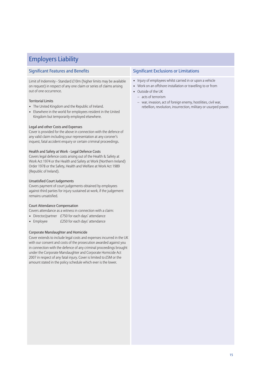## Employers Liability

### Significant Features and Benefits Significant Exclusions or Limitations

Limit of Indemnity - Standard £10m (higher limits may be available on request) in respect of any one claim or series of claims arising out of one occurrence.

#### Territorial Limits

- The United Kingdom and the Republic of Ireland.
- Elsewhere in the world for employees resident in the United Kingdom but temporarily employed elsewhere.

#### Legal and other Costs and Expenses

Cover is provided for the above in connection with the defence of any valid claim including your representation at any coroner's inquest, fatal accident enquiry or certain criminal proceedings.

#### Health and Safety at Work - Legal Defence Costs

Covers legal defence costs arising out of the Health & Safety at Work Act 1974 or the Health and Safety at Work (Northern Ireland) Order 1978 or the Safety, Health and Welfare at Work Act 1989 (Republic of Ireland).

#### Unsatisfied Court Judgements

Covers payment of court judgements obtained by employees against third parties for injury sustained at work, if the judgement remains unsatisfied.

#### Court Attendance Compensation

Covers attendance as a witness in connection with a claim:

- Director/partner £750 for each days' attendance
- Employee  $£250$  for each days' attendance

#### Corporate Manslaughter and Homicide

Cover extends to include legal costs and expenses incurred in the UK with our consent and costs of the prosecution awarded against you in connection with the defence of any criminal proceedings brought under the Corporate Manslaughter and Corporate Homicide Act 2007 in respect of any fatal injury. Cover is limited to £5M or the amount stated in the policy schedule which ever is the lower.

- Injury of employees whilst carried in or upon a vehicle
- Work on an offshore installation or travelling to or from
- Outside of the UK
	- acts of terrorism
	- war, invasion, act of foreign enemy, hostilities, civil war, rebellion, revolution, insurrection, military or usurped power.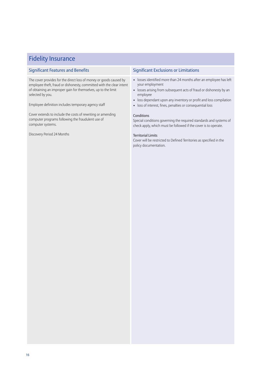| <b>Fidelity Insurance</b>                                                                                                                                                                                                                                                              |                                                                                                                                                                                                                                                                                                                                              |
|----------------------------------------------------------------------------------------------------------------------------------------------------------------------------------------------------------------------------------------------------------------------------------------|----------------------------------------------------------------------------------------------------------------------------------------------------------------------------------------------------------------------------------------------------------------------------------------------------------------------------------------------|
| <b>Significant Features and Benefits</b>                                                                                                                                                                                                                                               | <b>Significant Exclusions or Limitations</b>                                                                                                                                                                                                                                                                                                 |
| The cover provides for the direct loss of money or goods caused by<br>employee theft, fraud or dishonesty, committed with the clear intent<br>of obtaining an improper gain for themselves, up to the limit<br>selected by you.<br>Employee definition includes temporary agency staff | • losses identified more than 24 months after an employee has left<br>your employment<br>losses arising from subsequent acts of fraud or dishonesty by an<br>$\bullet$<br>employee<br>loss dependant upon any inventory or profit and loss compilation<br>$\bullet$<br>loss of interest, fines, penalties or consequential loss<br>$\bullet$ |
| Cover extends to include the costs of rewriting or amending<br>computer programs following the fraudulent use of<br>computer systems.                                                                                                                                                  | Conditions<br>Special conditions governing the required standards and systems of<br>check apply, which must be followed if the cover is to operate.                                                                                                                                                                                          |
| Discovery Period 24 Months                                                                                                                                                                                                                                                             | <b>Territorial Limits</b><br>Cover will be restricted to Defined Territories as specified in the<br>policy documentation.                                                                                                                                                                                                                    |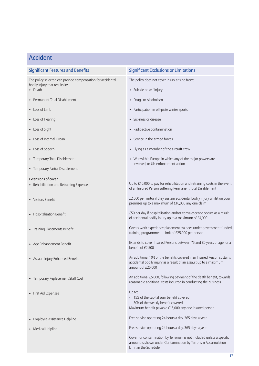## Accident

| <b>Significant Features and Benefits</b>                                                      | <b>Significant Exclusions or Limitations</b>                                                                                                                       |
|-----------------------------------------------------------------------------------------------|--------------------------------------------------------------------------------------------------------------------------------------------------------------------|
| The policy selected can provide compensation for accidental<br>bodily injury that results in: | The policy does not cover injury arising from:                                                                                                                     |
| • Death                                                                                       | • Suicide or self injury                                                                                                                                           |
| • Permanent Total Disablement                                                                 | • Drugs or Alcoholism                                                                                                                                              |
| • Loss of Limb                                                                                | • Participation in off-piste winter sports                                                                                                                         |
| • Loss of Hearing                                                                             | • Sickness or disease                                                                                                                                              |
| • Loss of Sight                                                                               | • Radioactive contamination                                                                                                                                        |
| • Loss of Internal Organ                                                                      | • Service in the armed forces                                                                                                                                      |
| • Loss of Speech                                                                              | • Flying as a member of the aircraft crew                                                                                                                          |
| • Temporary Total Disablement                                                                 | • War within Europe in which any of the major powers are<br>involved, or UN enforcement action                                                                     |
| • Temporary Partial Disablement                                                               |                                                                                                                                                                    |
| <b>Extensions of cover:</b><br>• Rehabilitation and Retraining Expenses                       | Up to £10,000 to pay for rehabilitation and retraining costs in the event<br>of an Insured Person suffering Permanent Total Disablement                            |
| • Visitors Benefit                                                                            | £2,500 per visitor if they sustain accidental bodily injury whilst on your<br>premises up to a maximum of £10,000 any one claim                                    |
| • Hospitalisation Benefit                                                                     | £50 per day if hospitalisation and/or convalescence occurs as a result<br>of accidental bodily injury up to a maximum of £4,000                                    |
| • Training Placements Benefit                                                                 | Covers work experience placement trainees under government funded<br>training programmes - Limit of £25,000 per person                                             |
| • Age Enhancement Benefit                                                                     | Extends to cover Insured Persons between 75 and 80 years of age for a<br>benefit of £2,500                                                                         |
| • Assault Injury Enhanced Benefit                                                             | An additional 10% of the benefits covered if an Insured Person sustains<br>accidental bodily injury as a result of an assault up to a maximum<br>amount of £25,000 |
| • Temporary Replacement Staff Cost                                                            | An additional £5,000, following payment of the death benefit, towards<br>reasonable additional costs incurred in conducting the business                           |
| • First Aid Expenses                                                                          | Up to:<br>- 15% of the capital sum benefit covered<br>- 30% of the weekly benefit covered<br>Maximum benefit payable £15,000 any one insured person                |
| • Employee Assistance Helpline                                                                | Free service operating 24 hours a day, 365 days a year                                                                                                             |
| • Medical Helpline                                                                            | Free service operating 24 hours a day, 365 days a year                                                                                                             |
|                                                                                               | Cover for contamination by Terrorism is not included unless a specific<br>amount is shown under Contamination by Terrorism Accumulation<br>Limit in the Schedule   |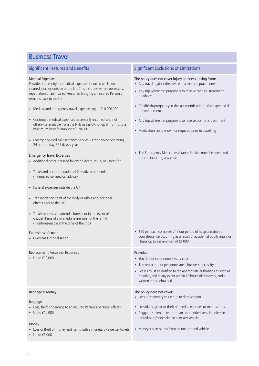### Business Travel

#### Medical Expenses

Provides indemnity for medical expenses incurred whilst on an insured journey outside of the UK. This includes, where necessary, repatriation of an Insured Person or bringing an Insured Person's remains back to the UK.

- Medical and emergency travel expenses up to £10,000,000
- Continued medical expenses necessarily incurred, and not otherwise available from the NHS in the UK for up 6 months to a maximum benefit amount of £20,000
- Emergency Medical Assistance Service Free service operating 24 hours a day, 365 days a year

#### Emergency Travel Expenses

- Additional costs incurred following death, injury or illness for:
- Travel and accommodation of 2 relatives or friends (if required on medical advice)
- Funeral expenses outside the UK
- Transportation costs of the body or ashes and personal effects back to the UK
- Travel expenses to attend a funeral or in the event of critical illness of a immediate member of the family (if unforeseeable at the time of the trip)

#### Extensions of cover:

• Overseas Hospitalisation

#### Replacement Personnel Expenses

• Up to £10,000

#### Baggage & Money

#### Baggage

- Loss, theft or damage to an Insured Person's personal effects.
- Up to £10,000

#### Money

- Loss or theft of money and items with a monetary value, i.e. tickets
- Up to £5,000

#### Significant Features and Benefits Significant Exclusions or Limitations

#### The policy does not cover injury or illness arising from:

- Any travel against the advice of a medical practitioner
- Any trip where the purpose is to receive medical treatment or advice
- Childbirth/pregnancy in the last month prior to the expected date of confinement
- Any trip where the purpose is to receive cosmetic treatment
- Medication costs known or required prior to travelling
- The Emergency Medical Assistance Service must be consulted prior to incurring any costs

• £50 per each complete 24 hour period of hospitalisation or convalescence occurring as a result of accidental bodily injury or illness up to a maximum of £1,000

#### Provided:

- You do not incur unnecessary costs
- The replacement personnel are a business necessity
- Losses must be notified to the appropriate authorities as soon as possible, and in any event within 48 hours of discovery, and a written report obtained

#### The policy does not cover:

- Loss of monetary value due to depreciation
- Loss/damage to, or theft of deeds, securities or manuscripts
- Baggage stolen or lost from an unattended vehicle unless in a locked boot/concealed in a locked vehicle
- Money stolen or lost from an unattended vehicle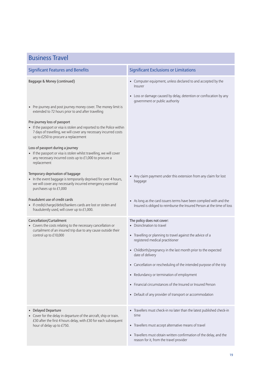| <b>Business Travel</b>                                                                                                                                                                                                                                                                                                           |                                                                                                                                                                                                                                                                                                                                                                                                                                                                                             |  |
|----------------------------------------------------------------------------------------------------------------------------------------------------------------------------------------------------------------------------------------------------------------------------------------------------------------------------------|---------------------------------------------------------------------------------------------------------------------------------------------------------------------------------------------------------------------------------------------------------------------------------------------------------------------------------------------------------------------------------------------------------------------------------------------------------------------------------------------|--|
| <b>Significant Features and Benefits</b>                                                                                                                                                                                                                                                                                         | <b>Significant Exclusions or Limitations</b>                                                                                                                                                                                                                                                                                                                                                                                                                                                |  |
| Baggage & Money (continued)<br>• Pre-journey and post journey money cover. The money limit is<br>extended to 72 hours prior to and after travelling<br>Pre-journey loss of passport<br>• If the passport or visa is stolen and reported to the Police within<br>7 days of travelling, we will cover any necessary incurred costs | • Computer equipment, unless declared to and accepted by the<br>Insurer<br>• Loss or damage caused by delay, detention or confiscation by any<br>government or public authority                                                                                                                                                                                                                                                                                                             |  |
| up to £250 to procure a replacement<br>Loss of passport during a journey<br>• If the passport or visa is stolen whilst travelling, we will cover<br>any necessary incurred costs up to £1,000 to procure a<br>replacement<br>Temporary deprivation of baggage                                                                    |                                                                                                                                                                                                                                                                                                                                                                                                                                                                                             |  |
| • In the event baggage is temporarily deprived for over 4 hours,<br>we will cover any necessarily incurred emergency essential<br>purchases up to £1,000                                                                                                                                                                         | • Any claim payment under this extension from any claim for lost<br>baggage                                                                                                                                                                                                                                                                                                                                                                                                                 |  |
| Fraudulent use of credit cards<br>• If credit/charge/debit/bankers cards are lost or stolen and<br>fraudulently used, will cover up to £1,000.                                                                                                                                                                                   | • As long as the card issuers terms have been complied with and the<br>Insured is obliged to reimburse the Insured Person at the time of loss                                                                                                                                                                                                                                                                                                                                               |  |
| Cancellation/Curtailment<br>• Covers the costs relating to the necessary cancellation or<br>curtailment of an insured trip due to any cause outside their<br>control up to £10,000                                                                                                                                               | The policy does not cover:<br>• Disinclination to travel<br>• Travelling or planning to travel against the advice of a<br>registered medical practitioner<br>• Childbirth/pregnancy in the last month prior to the expected<br>date of delivery<br>• Cancellation or rescheduling of the intended purpose of the trip<br>• Redundancy or termination of employment<br>• Financial circumstances of the Insured or Insured Person<br>• Default of any provider of transport or accommodation |  |
| • Delayed Departure<br>• Cover for the delay in departure of the aircraft, ship or train.<br>£30 after the first 4 hours delay, with £30 for each subsequent<br>hour of delay up to £750.                                                                                                                                        | • Travellers must check-in no later than the latest published check-in<br>time<br>• Travellers must accept alternative means of travel<br>• Travellers must obtain written confirmation of the delay, and the<br>reason for it, from the travel provider                                                                                                                                                                                                                                    |  |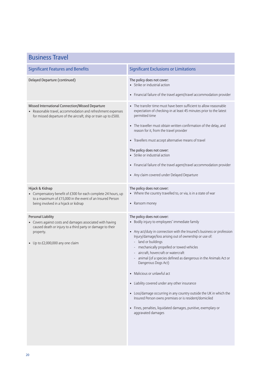| <b>Business Travel</b>                                                                                                                                                                                |                                                                                                                                                                                                                                                                                                                                                                                                                                                                                                                                                                                                                                                                                                                              |  |
|-------------------------------------------------------------------------------------------------------------------------------------------------------------------------------------------------------|------------------------------------------------------------------------------------------------------------------------------------------------------------------------------------------------------------------------------------------------------------------------------------------------------------------------------------------------------------------------------------------------------------------------------------------------------------------------------------------------------------------------------------------------------------------------------------------------------------------------------------------------------------------------------------------------------------------------------|--|
| <b>Significant Features and Benefits</b>                                                                                                                                                              | <b>Significant Exclusions or Limitations</b>                                                                                                                                                                                                                                                                                                                                                                                                                                                                                                                                                                                                                                                                                 |  |
| Delayed Departure (continued)                                                                                                                                                                         | The policy does not cover:<br>• Strike or industrial action<br>• Financial failure of the travel agent/travel accommodation provider                                                                                                                                                                                                                                                                                                                                                                                                                                                                                                                                                                                         |  |
| Missed International Connection/Missed Departure<br>• Reasonable travel, accommodation and refreshment expenses<br>for missed departure of the aircraft, ship or train up to £500.                    | • The transfer time must have been sufficient to allow reasonable<br>expectation of checking-in at least 45 minutes prior to the latest<br>permitted time<br>• The traveller must obtain written confirmation of the delay, and<br>reason for it, from the travel provider<br>• Travellers must accept alternative means of travel<br>The policy does not cover:<br>• Strike or industrial action<br>• Financial failure of the travel agent/travel accommodation provider<br>• Any claim covered under Delayed Departure                                                                                                                                                                                                    |  |
| Hijack & Kidnap<br>• Compensatory benefit of £300 for each complete 24 hours, up<br>to a maximum of £15,000 in the event of an Insured Person<br>being involved in a hijack or kidnap                 | The policy does not cover:<br>• Where the country travelled to, or via, is in a state of war<br>• Ransom money                                                                                                                                                                                                                                                                                                                                                                                                                                                                                                                                                                                                               |  |
| <b>Personal Liability</b><br>• Covers against costs and damages associated with having<br>caused death or injury to a third party or damage to their<br>property.<br>• Up to £2,000,000 any one claim | The policy does not cover:<br>• Bodily injury to employees' immediate family<br>• Any act/duty in connection with the Insured's business or profession<br>Injury/damage/loss arising out of ownership or use of:<br>- land or buildings<br>- mechanically propelled or towed vehicles<br>aircraft, hovercraft or watercraft<br>animal (of a species defined as dangerous in the Animals Act or<br>Dangerous Dogs Act)<br>• Malicious or unlawful act<br>• Liability covered under any other insurance<br>• Loss/damage occurring in any country outside the UK in which the<br>Insured Person owns premises or is resident/domiciled<br>· Fines, penalties, liquidated damages, punitive, exemplary or<br>aggravated damages |  |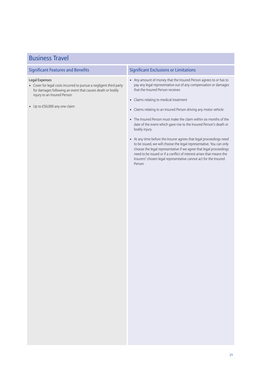| <b>Business Travel</b>                                                                                                                                                                                                    |                                                                                                                                                                                                                                                                                                                                                                                                                                                                                                                                                                                                                                                                                                                                                                                                                              |
|---------------------------------------------------------------------------------------------------------------------------------------------------------------------------------------------------------------------------|------------------------------------------------------------------------------------------------------------------------------------------------------------------------------------------------------------------------------------------------------------------------------------------------------------------------------------------------------------------------------------------------------------------------------------------------------------------------------------------------------------------------------------------------------------------------------------------------------------------------------------------------------------------------------------------------------------------------------------------------------------------------------------------------------------------------------|
| <b>Significant Features and Benefits</b>                                                                                                                                                                                  | <b>Significant Exclusions or Limitations</b>                                                                                                                                                                                                                                                                                                                                                                                                                                                                                                                                                                                                                                                                                                                                                                                 |
| <b>Legal Expenses</b><br>• Cover for legal costs incurred to pursue a negligent third party<br>for damages following an event that causes death or bodily<br>injury to an Insured Person<br>• Up to £50,000 any one claim | • Any amount of money that the Insured Person agrees to or has to<br>pay any legal representative out of any compensation or damages<br>that the Insured Person receives<br>• Claims relating to medical treatment<br>• Claims relating to an Insured Person driving any motor vehicle<br>• The Insured Person must make the claim within six months of the<br>date of the event which gave rise to the Insured Person's death or<br>bodily injury<br>• At any time before the Insurer agrees that legal proceedings need<br>to be issued, we will choose the legal representative. You can only<br>choose the legal representative if we agree that legal proceedings<br>need to be issued or if a conflict of interest arises that means the<br>Insurers' chosen legal representative cannot act for the Insured<br>Person |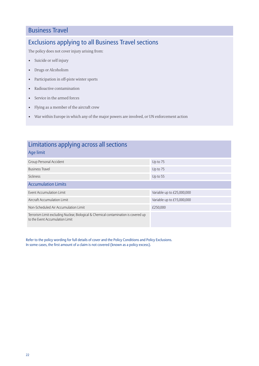### Business Travel

## Exclusions applying to all Business Travel sections

The policy does not cover injury arising from:

- Suicide or self injury
- Drugs or Alcoholism
- Participation in off-piste winter sports
- Radioactive contamination
- Service in the armed forces
- Flying as a member of the aircraft crew
- War within Europe in which any of the major powers are involved, or UN enforcement action

| Limitations applying across all sections                                                                                |                            |
|-------------------------------------------------------------------------------------------------------------------------|----------------------------|
| Age limit                                                                                                               |                            |
| Group Personal Accident                                                                                                 | Up to 75                   |
| <b>Business Travel</b>                                                                                                  | Up to 75                   |
| <b>Sickness</b>                                                                                                         | Up to 55                   |
| <b>Accumulation Limits</b>                                                                                              |                            |
| Event Accumulation Limit                                                                                                | Variable up to £25,000,000 |
| Aircraft Accumulation Limit                                                                                             | Variable up to £15,000,000 |
| Non-Scheduled Air Accumulation Limit                                                                                    | £250,000                   |
| Terrorism Limit excluding Nuclear, Biological & Chemical contamination is covered up<br>to the Event Accumulation Limit |                            |

Refer to the policy wording for full details of cover and the Policy Conditions and Policy Exclusions. In some cases, the first amount of a claim is not covered (known as a policy excess).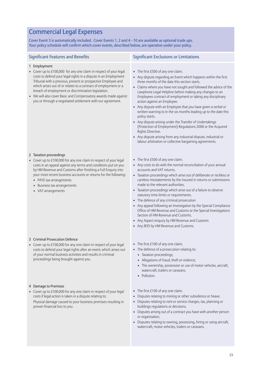## Commercial Legal Expenses

Cover Event 3 is automatically included. Cover Events 1, 2 and 4 - 10 are available as optional trade ups. Your policy schedule will confirm which cover events, described below, are operative under your policy.

| <b>Significant Features and Benefits</b>                                                                                                                                                                                                                                                                                                                                                                                                                                         | <b>Significant Exclusions or Limitations</b>                                                                                                                                                                                                                                                                                                                                                                                                                                                                                                                                                                                                                                                                                                                                                                                |
|----------------------------------------------------------------------------------------------------------------------------------------------------------------------------------------------------------------------------------------------------------------------------------------------------------------------------------------------------------------------------------------------------------------------------------------------------------------------------------|-----------------------------------------------------------------------------------------------------------------------------------------------------------------------------------------------------------------------------------------------------------------------------------------------------------------------------------------------------------------------------------------------------------------------------------------------------------------------------------------------------------------------------------------------------------------------------------------------------------------------------------------------------------------------------------------------------------------------------------------------------------------------------------------------------------------------------|
| 1 Employment<br>• Cover up to £100,000 for any one claim in respect of your legal<br>costs to defend your legal rights in a dispute in an Employment<br>Tribunal with a previous, present or prospective Employee and<br>which arises out of or relates to a contract of employment or a<br>breach of employment or discrimination legislation.<br>• We will also cover Basic and Compensatory awards made against<br>you or through a negotiated settlement with our agreement. | • The first £500 of any one claim.<br>• Any dispute regarding an Event which happens within the first<br>three months of the date this section starts.<br>• Claims where you have not sought and followed the advice of the<br>Lawphone Legal Helpline before making any changes to an<br>Employees contract of employment or taking any disciplinary<br>action against an Employee.<br>• Any dispute with an Employee that you have given a verbal or<br>written warning to in the six months leading up to the date this<br>policy starts.<br>• Any dispute arising under the Transfer of Undertakings<br>(Protection of Employment) Regulations 2006 or the Acquired<br>Rights Directive.<br>• Any dispute arising from any industrial dispute, industrial or<br>labour arbitration or collective bargaining agreements. |
| 2 Taxation proceedings<br>• Cover up to £100,000 for any one claim in respect of your legal<br>costs in an appeal against any terms and conditions put on you<br>by HM Revenue and Customs after finishing a Full Enquiry into<br>your most recent business accounts or returns for the following:<br>• PAYE tax arrangements<br>• Business tax arrangements<br>• VAT arrangements                                                                                               | • The first £500 of any one claim.<br>• Any costs to do with the normal reconciliation of your annual<br>accounts and VAT returns.<br>• Taxation proceedings which arise out of deliberate or reckless or<br>careless misstatements by the insured in returns or submissions<br>made to the relevant authorities.<br>• Taxation proceedings which arise out of a failure to observe<br>statutory time limits or requirements.<br>• The defence of any criminal prosecution<br>• Any appeal following an Investigation by the Special Compliance<br>Office of HM Revenue and Customs or the Special Investigations<br>Section of HM Revenue and Customs.<br>• Any Aspect enquiry by HM Revenue and Customs<br>• Any IR35 by HM Revenue and Customs.                                                                          |
| 3 Criminal Prosecution Defence<br>Cover up to £100,000 for any one claim in respect of your legal<br>costs to defend your legal rights after an event, which arises out<br>of your normal business activities and results in criminal<br>proceedings being brought against you.                                                                                                                                                                                                  | • The first £100 of any one claim.<br>• The defence of a prosecution relating to:<br>• Taxation proceedings;<br>• Allegations of fraud, theft or violence;<br>• The ownership, possession or use of motor vehicles, aircraft,<br>watercraft, trailers or caravans.<br>• Pollution.                                                                                                                                                                                                                                                                                                                                                                                                                                                                                                                                          |
| 4 Damage to Premises<br>• Cover up to £100,000 for any one claim in respect of your legal<br>costs if legal action is taken in a dispute relating to:<br>Physical damage caused to your business premises resulting in<br>proven financial loss to you.                                                                                                                                                                                                                          | • The first $£100$ of any one claim.<br>Disputes relating to mining or other subsidence or heave.<br>• Disputes relating to rent or service charges, tax, planning or<br>buildings regulations or decisions.<br>• Disputes arising out of a contract you have with another person<br>or organisation.<br>• Disputes relating to owning, possessing, hiring or using aircraft,<br>watercraft, motor vehicles, trailers or caravans.                                                                                                                                                                                                                                                                                                                                                                                          |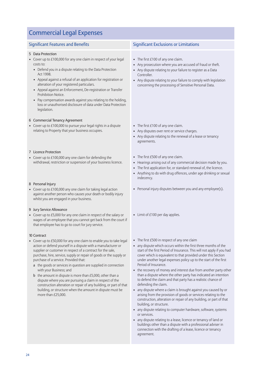## Commercial Legal Expenses

- 5 Data Protection
- Cover up to £100,000 for any one claim in respect of your legal costs to:
	- Defend you in a dispute relating to the Data Protection Act 1998.
	- Appeal against a refusal of an application for registration or alteration of your registered particulars.
	- Appeal against an Enforcement, De-registration or Transfer Prohibition Notice.
	- Pay compensation awards against you relating to the holding, loss or unauthorised disclosure of data under Data Protection legislation.

#### 6 Commercial Tenancy Agreement

• Cover up to £100,000 to pursue your legal rights in a dispute relating to Property that your business occupies.

#### 7 Licence Protection

• Cover up to £100,000 any one claim for defending the withdrawal, restriction or suspension of your business licence.

#### 8 Personal Injury

• Cover up to £100,000 any one claim for taking legal action against another person who causes your death or bodily injury whilst you are engaged in your business.

#### 9 Jury Service Allowance

• Cover up to £5,000 for any one claim in respect of the salary or wages of an employee that you cannot get back from the court if that employee has to go to court for jury service.

#### 10 Contract

- Cover up to £50,000 for any one claim to enable you to take legal action or defend yourself in a dispute with a manufacturer or supplier or customer in respect of a contract for the sale, purchase, hire, service, supply or repair of goods or the supply or purchase of a service. Provided that:
	- a the goods or services in question are supplied in connection with your Business; and
	- **b** the amount in dispute is more than  $£5,000$ , other than a dispute where you are pursuing a claim in respect of the construction alteration or repair of any building, or part of that building, or structure when the amount in dispute must be more than £25,000.

### Significant Features and Benefits Significant Exclusions or Limitations

- The first £100 of any one claim.
- Any prosecution where you are accused of fraud or theft.
- Any dispute relating to your failure to register as a Data Controller.
- Any dispute relating to your failure to comply with legislation concerning the processing of Sensitive Personal Data.
- The first £100 of any one claim.
- Any disputes over rent or service charges.
- Any dispute relating to the renewal of a lease or tenancy agreements.
- The first £500 of any one claim.
- Hearings arising out of any commercial decision made by you.
- The first application for, or standard renewal of, the licence.
- Anything to do with drug offences, under age drinking or sexual indecency.
- Personal injury disputes between you and any employee(s).
- $\bullet$  Limit of £100 per day applies.
- The first £500 in respect of any one claim
- any dispute which occurs within the first three months of the start of the first Period of Insurance. This will not apply if you had cover which is equivalent to that provided under this Section under another legal expenses policy up to the start of the first Period of Insurance.
- the recovery of money and interest due from another party other than a dispute where the other party has indicated an intention to defend the claim and that party has a realistic chance of defending the claim.
- any dispute where a claim is brought against you caused by or arising from the provision of goods or services relating to the construction, alteration or repair of any building, or part of that building, or structure.
- any dispute relating to computer hardware, software, systems or services.
- any dispute relating to a lease, licence or tenancy of land or buildings other than a dispute with a professional adviser in connection with the drafting of a lease, licence or tenancy agreement.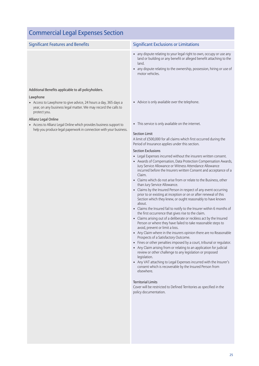| <b>Commercial Legal Expenses Section</b>                                                                                                                                                                                                                                                                                                                                                   |                                                                                                                                                                                                                                                                                                                                                                                                                                                                                                                                                                                                                                                                                                                                                                                                                                                                                                                                                                                                                                                                                                                                                                                                                                                                                                                                                                                                                                                                                                                                                                                                                                                                                                                                                                                                                  |
|--------------------------------------------------------------------------------------------------------------------------------------------------------------------------------------------------------------------------------------------------------------------------------------------------------------------------------------------------------------------------------------------|------------------------------------------------------------------------------------------------------------------------------------------------------------------------------------------------------------------------------------------------------------------------------------------------------------------------------------------------------------------------------------------------------------------------------------------------------------------------------------------------------------------------------------------------------------------------------------------------------------------------------------------------------------------------------------------------------------------------------------------------------------------------------------------------------------------------------------------------------------------------------------------------------------------------------------------------------------------------------------------------------------------------------------------------------------------------------------------------------------------------------------------------------------------------------------------------------------------------------------------------------------------------------------------------------------------------------------------------------------------------------------------------------------------------------------------------------------------------------------------------------------------------------------------------------------------------------------------------------------------------------------------------------------------------------------------------------------------------------------------------------------------------------------------------------------------|
| <b>Significant Features and Benefits</b>                                                                                                                                                                                                                                                                                                                                                   | <b>Significant Exclusions or Limitations</b>                                                                                                                                                                                                                                                                                                                                                                                                                                                                                                                                                                                                                                                                                                                                                                                                                                                                                                                                                                                                                                                                                                                                                                                                                                                                                                                                                                                                                                                                                                                                                                                                                                                                                                                                                                     |
|                                                                                                                                                                                                                                                                                                                                                                                            | • any dispute relating to your legal right to own, occupy or use any<br>land or building or any benefit or alleged benefit attaching to the<br>land.<br>• any dispute relating to the ownership, possession, hiring or use of<br>motor vehicles.                                                                                                                                                                                                                                                                                                                                                                                                                                                                                                                                                                                                                                                                                                                                                                                                                                                                                                                                                                                                                                                                                                                                                                                                                                                                                                                                                                                                                                                                                                                                                                 |
| Additional Benefits applicable to all policyholders.<br>Lawphone<br>• Access to Lawphone to give advice, 24 hours a day, 365 days a<br>year, on any business legal matter. We may record the calls to<br>protect you.<br>Allianz Legal Online<br>• Access to Allianz Legal Online which provides business support to<br>help you produce legal paperwork in connection with your business. | • Advice is only available over the telephone.<br>• This service is only available on the internet.<br><b>Section Limit</b><br>A limit of £500,000 for all claims which first occurred during the<br>Period of Insurance applies under this section.<br><b>Section Exclusions</b><br>• Legal Expenses incurred without the insurers written consent.<br>• Awards of Compensation, Data Protection Compensation Awards,<br>Jury Service Allowance or Witness Attendance Allowance<br>incurred before the Insurers written Consent and acceptance of a<br>Claim.<br>• Claims which do not arise from or relate to the Business, other<br>than Jury Service Allowance.<br>• Claims by the Insured Person in respect of any event occurring<br>prior to or existing at inception or on or after renewal of this<br>Section which they knew, or ought reasonably to have known<br>about.<br>• Claims the Insured fail to notify to the Insurer within 6 months of<br>the first occurrence that gives rise to the claim.<br>• Claims arising out of a deliberate or reckless act by the Insured<br>Person or where they have failed to take reasonable steps to<br>avoid, prevent or limit a loss.<br>• Any Claim where in the insurers opinion there are no Reasonable<br>Prospects of a Satisfactory Outcome.<br>• Fines or other penalties imposed by a court, tribunal or regulator.<br>• Any Claim arising from or relating to an application for judicial<br>review or other challenge to any legislation or proposed<br>legislation.<br>• Any VAT attaching to Legal Expenses incurred with the Insurer's<br>consent which is recoverable by the Insured Person from<br>elsewhere.<br><b>Territorial Limits</b><br>Cover will be restricted to Defined Territories as specified in the<br>policy documentation. |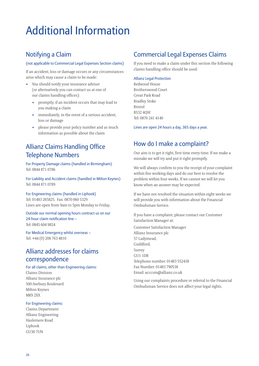# Additional Information

### Notifying a Claim

#### (not applicable to Commercial Legal Expenses Section claims)

If an accident, loss or damage occurs or any circumstances arise which may cause a claim to be made:

- You should notify your insurance adviser (or alternatively you can contact us at one of our claims handling offices):
	- promptly, if an incident occurs that may lead to you making a claim
	- immediately, in the event of a serious accident, loss or damage
	- please provide your policy number and as much information as possible about the claim

### Allianz Claims Handling Office Telephone Numbers

For Property Damage claims (handled in Birmingham) Tel: 0844 871 0786

For Liability and Accident claims (handled in Milton Keynes) Tel: 0844 871 0789

#### For Engineering claims (handled in Liphook) Tel: 01483 265825. Fax: 0870 060 5329

Lines are open from 9am to 5pm Monday to Friday.

Outside our normal opening hours contract us on our 24-hour claim notification line – Tel: 0845 604 9824

For Medical Emergency whilst overseas – Tel: +44 (0) 208 763 4810

### Allianz addresses for claims correspondence

### For all claims, other than Engineering claims:

Claims Division Allianz Insurance plc 500 Avebury Boulevard Milton Keynes MK9 2XX

#### For Engineering claims:

Claims Department Allianz Engineering Haslemere Road Liphook GU30 7UN

### Commercial Legal Expenses Claims

If you need to make a claim under this section the following claims handling office should be used:

#### Allianz Legal Protection

Redwood House Brotherswood Court Great Park Road Bradley Stoke Bristol BS32 4QW Tel: 0870 241 4140

Lines are open 24 hours a day, 365 days a year.

### How do I make a complaint?

Our aim is to get it right, first time every time. If we make a mistake we will try and put it right promptly.

We will always confirm to you the receipt of your complaint within five working days and do our best to resolve the problem within four weeks. If we cannot we will let you know when an answer may be expected.

If we have not resolved the situation within eight weeks we will provide you with information about the Financial Ombudsman Service.

If you have a complaint, please contact our Customer Satisfaction Manager at:

Customer Satisfaction Manager Allianz Insurance plc 57 Ladymead, Guildford, Surrey GU1 1DB Telephone number: 01483 552438 Fax Number: 01483 790538 Email: acccsm@allianz.co.uk

Using our complaints procedure or referral to the Financial Ombudsman Service does not affect your legal rights.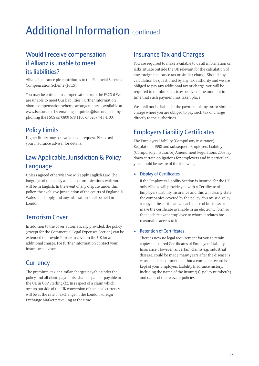# Additional Information continued

## Would I receive compensation if Allianz is unable to meet its liabilities?

Allianz Insurance plc contributes to the Financial Services Compensation Scheme (FSCS).

You may be entitled to compensation from the FSCS if We are unable to meet Our liabilities. Further information about compensation scheme arrangements is available at www.fscs.org.uk, by emailing enquiries@fscs.org.uk or by phoning the FSCS on 0800 678 1100 or 0207 741 4100.

## Policy Limits

Higher limits may be available on request. Please ask your insurance adviser for details.

## Law Applicable, Jurisdiction & Policy Language

Unless agreed otherwise we will apply English Law. The language of the policy and all communications with you will be in English. In the event of any dispute under this policy, the exclusive jurisdiction of the courts of England & Wales shall apply and any arbitration shall be held in London.

### Terrorism Cover

In addition to the cover automatically provided, the policy (except for the Commercial Legal Expenses Section) can be extended to provide Terrorism cover in the UK for an additional charge. For further information contact your insurance advisor.

### **Currency**

The premium, tax or similar charges payable under the policy and all claim payments, shall be paid or payable in the UK in GBP Sterling  $(E)$ . In respect of a claim which occurs outside of the UK conversion of the local currency will be at the rate of exchange in the London Foreign Exchange Market prevailing at the time.

### Insurance Tax and Charges

You are required to make available to us all information on risks situate outside the UK relevant for the calculation of any foreign insurance tax or similar charge. Should any calculation be questioned by any tax authority and we are obliged to pay any additional tax or charge, you will be required to reimburse us irrespective of the moment in time that such payment has taken place.

We shall not be liable for the payment of any tax or similar charge where you are obliged to pay such tax or charge directly to the authorities.

## Employers Liability Certificates

The Employers Liability (Compulsory Insurance) Regulations 1998 and subsequent Employers Liability (Compulsory Insurance) Amendment Regulations 2008 lay down certain obligations for employers and in particular you should be aware of the following:

### • Display of Certificates

If the Employers Liability Section is insured, for the UK only Allianz will provide you with a Certificate of Employers Liability Insurance and this will clearly state the companies covered by the policy. You must display a copy of the certificate at each place of business or make the certificate available in an electronic form so that each relevant employee to whom it relates has reasonable access to it.

### **Retention of Certificates**

There is now no legal requirement for you to retain copies of expired Certificates of Employers Liability Insurance. However, as certain claims e.g. industrial disease, could be made many years after the disease is caused, it is recommended that a complete record is kept of your Employers Liability Insurance history, including the name of the insurer(s), policy number(s) and dates of the relevant policies.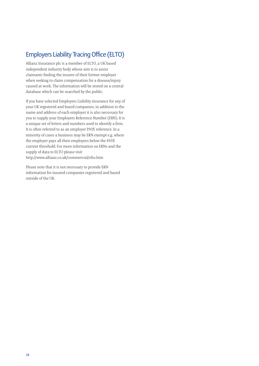### **Employers Liability Tracing Office (ELTO)**

Allianz Insurance plc is a member of ELTO, a UK based independent industry body whose aim is to assist claimants finding the insurer of their former employer when seeking to claim compensation for a disease/injury caused at work. The information will be stored on a central database which can be searched by the public.

If you have selected Employers Liability insurance for any of your UK registered and based companies, in addition to the name and address of each employer it is also necessary for you to supply your Employers Reference Number (ERN). It is a unique set of letters and numbers used to identify a firm. It is often referred to as an employer PAYE reference. In a minority of cases a business may be ERN exempt e.g. where the employer pays all their employees below the PAYE current threshold. For more information on ERNs and the supply of data to ELTO please visit http://www.allianz.co.uk/commercial/elto.htm

Please note that it is not necessary to provide ERN information for insured companies registered and based outside of the UK.